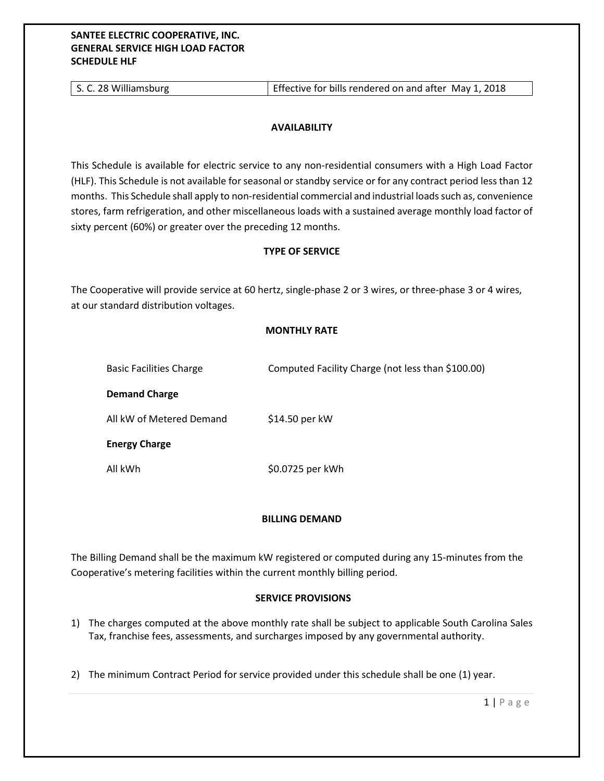## **SANTEE ELECTRIC COOPERATIVE, INC. GENERAL SERVICE HIGH LOAD FACTOR SCHEDULE HLF**

## **AVAILABILITY**

This Schedule is available for electric service to any non-residential consumers with a High Load Factor (HLF). This Schedule is not available for seasonal or standby service or for any contract period less than 12 months. This Schedule shall apply to non-residential commercial and industrial loads such as, convenience stores, farm refrigeration, and other miscellaneous loads with a sustained average monthly load factor of sixty percent (60%) or greater over the preceding 12 months.

## **TYPE OF SERVICE**

The Cooperative will provide service at 60 hertz, single-phase 2 or 3 wires, or three-phase 3 or 4 wires, at our standard distribution voltages.

# **MONTHLY RATE**

| <b>Basic Facilities Charge</b> | Computed Facility Charge (not less than \$100.00) |
|--------------------------------|---------------------------------------------------|
| <b>Demand Charge</b>           |                                                   |
| All kW of Metered Demand       | \$14.50 per kW                                    |
| <b>Energy Charge</b>           |                                                   |
| All kWh                        | \$0.0725 per kWh                                  |

### **BILLING DEMAND**

The Billing Demand shall be the maximum kW registered or computed during any 15-minutes from the Cooperative's metering facilities within the current monthly billing period.

### **SERVICE PROVISIONS**

- 1) The charges computed at the above monthly rate shall be subject to applicable South Carolina Sales Tax, franchise fees, assessments, and surcharges imposed by any governmental authority.
- 2) The minimum Contract Period for service provided under this schedule shall be one (1) year.